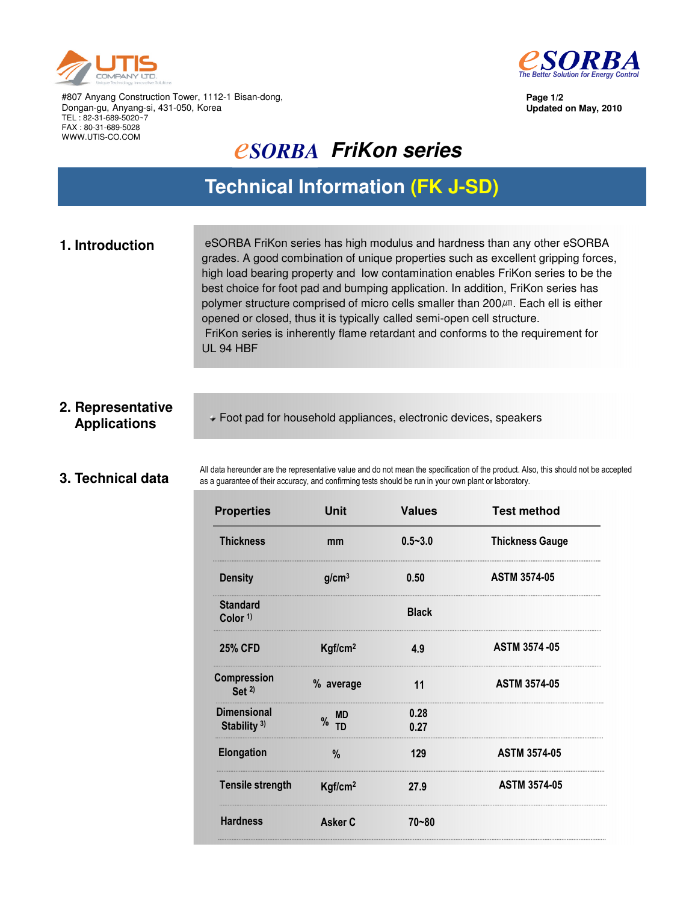



**Page 1/2 Updated on May, 2010**

#807 Anyang Construction Tower, 1112-1 Bisan-dong, Dongan-gu, Anyang-si, 431-050, Korea TEL : 82-31-689-5020~7 FAX : 80-31-689-5028 WWW.UTIS-CO.COM

## *<u>ESORBA FriKon series</u>*

### **Technical Information (FK J-SD)**

**1. Introduction** eSORBA FriKon series has high modulus and hardness than any other eSORBA grades. A good combination of unique properties such as excellent gripping forces, high load bearing property and low contamination enables FriKon series to be the best choice for foot pad and bumping application. In addition, FriKon series has polymer structure comprised of micro cells smaller than 200㎛. Each ell is either opened or closed, thus it is typically called semi-open cell structure. FriKon series is inherently flame retardant and conforms to the requirement for UL 94 HBF

# **2. Representative**

**Applications** Foot pad for household appliances, electronic devices, speakers

### **3. Technical data**

All data hereunder are the representative value and do not mean the specification of the product. Also, this should not be accepted as a guarantee of their accuracy, and confirming tests should be run in your own plant or laboratory.

| <b>Properties</b>                      | Unit                | <b>Values</b> | <b>Test method</b>     |
|----------------------------------------|---------------------|---------------|------------------------|
| <b>Thickness</b>                       | mm                  | $0.5 - 3.0$   | <b>Thickness Gauge</b> |
| <b>Density</b>                         | g/cm <sup>3</sup>   | 0.50          | <b>ASTM 3574-05</b>    |
| <b>Standard</b><br>Color <sup>1)</sup> |                     | <b>Black</b>  |                        |
| <b>25% CFD</b>                         | Kgf/cm <sup>2</sup> | 4.9           | <b>ASTM 3574-05</b>    |
| Compression<br>Set $2$                 | % average           | 11            | <b>ASTM 3574-05</b>    |
| <b>Dimensional</b><br>Stability $3$ )  | <b>MD</b><br>$%$ TD | 0.28<br>0.27  |                        |
| Elongation                             | $\frac{0}{0}$       | 129           | <b>ASTM 3574-05</b>    |
| <b>Tensile strength</b>                | Kgf/cm <sup>2</sup> | 27.9          | <b>ASTM 3574-05</b>    |
| <b>Hardness</b>                        | Asker C             | $70 - 80$     |                        |